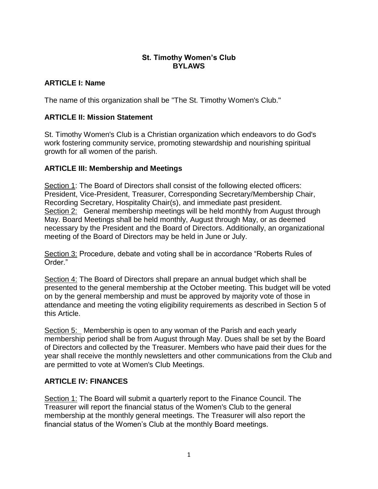### **St. Timothy Women's Club BYLAWS**

### **ARTICLE I: Name**

The name of this organization shall be "The St. Timothy Women's Club."

## **ARTICLE II: Mission Statement**

St. Timothy Women's Club is a Christian organization which endeavors to do God's work fostering community service, promoting stewardship and nourishing spiritual growth for all women of the parish.

### **ARTICLE III: Membership and Meetings**

Section 1: The Board of Directors shall consist of the following elected officers: President, Vice-President, Treasurer, Corresponding Secretary/Membership Chair, Recording Secretary, Hospitality Chair(s), and immediate past president. Section 2: General membership meetings will be held monthly from August through May. Board Meetings shall be held monthly, August through May, or as deemed necessary by the President and the Board of Directors. Additionally, an organizational meeting of the Board of Directors may be held in June or July.

Section 3: Procedure, debate and voting shall be in accordance "Roberts Rules of Order."

Section 4: The Board of Directors shall prepare an annual budget which shall be presented to the general membership at the October meeting. This budget will be voted on by the general membership and must be approved by majority vote of those in attendance and meeting the voting eligibility requirements as described in Section 5 of this Article.

Section 5: Membership is open to any woman of the Parish and each yearly membership period shall be from August through May. Dues shall be set by the Board of Directors and collected by the Treasurer. Members who have paid their dues for the year shall receive the monthly newsletters and other communications from the Club and are permitted to vote at Women's Club Meetings.

# **ARTICLE IV: FINANCES**

Section 1: The Board will submit a quarterly report to the Finance Council. The Treasurer will report the financial status of the Women's Club to the general membership at the monthly general meetings. The Treasurer will also report the financial status of the Women's Club at the monthly Board meetings.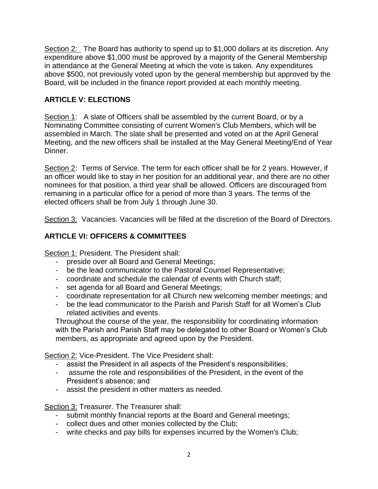Section 2: The Board has authority to spend up to \$1,000 dollars at its discretion. Any expenditure above \$1,000 must be approved by a majority of the General Membership in attendance at the General Meeting at which the vote is taken. Any expenditures above \$500, not previously voted upon by the general membership but approved by the Board, will be included in the finance report provided at each monthly meeting.

## **ARTICLE V: ELECTIONS**

Section 1: A slate of Officers shall be assembled by the current Board, or by a Nominating Committee consisting of current Women's Club Members, which will be assembled in March. The slate shall be presented and voted on at the April General Meeting, and the new officers shall be installed at the May General Meeting/End of Year Dinner.

Section 2: Terms of Service. The term for each officer shall be for 2 years. However, if an officer would like to stay in her position for an additional year, and there are no other nominees for that position, a third year shall be allowed. Officers are discouraged from remaining in a particular office for a period of more than 3 years. The terms of the elected officers shall be from July 1 through June 30.

Section 3: Vacancies. Vacancies will be filled at the discretion of the Board of Directors.

# **ARTICLE VI: OFFICERS & COMMITTEES**

Section 1: President. The President shall:

- preside over all Board and General Meetings;
- be the lead communicator to the Pastoral Counsel Representative;
- coordinate and schedule the calendar of events with Church staff;
- set agenda for all Board and General Meetings;
- coordinate representation for all Church new welcoming member meetings; and
- be the lead communicator to the Parish and Parish Staff for all Women's Club related activities and events.

Throughout the course of the year, the responsibility for coordinating information with the Parish and Parish Staff may be delegated to other Board or Women's Club members, as appropriate and agreed upon by the President.

Section 2: Vice-President. The Vice President shall:

- assist the President in all aspects of the President's responsibilities;
- assume the role and responsibilities of the President, in the event of the President's absence; and
- assist the president in other matters as needed.

Section 3: Treasurer. The Treasurer shall:

- submit monthly financial reports at the Board and General meetings;
- collect dues and other monies collected by the Club;
- write checks and pay bills for expenses incurred by the Women's Club;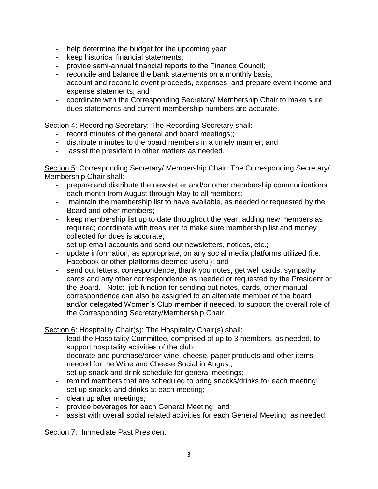- help determine the budget for the upcoming year;
- keep historical financial statements;
- provide semi-annual financial reports to the Finance Council;
- reconcile and balance the bank statements on a monthly basis;
- account and reconcile event proceeds, expenses, and prepare event income and expense statements; and
- coordinate with the Corresponding Secretary/ Membership Chair to make sure dues statements and current membership numbers are accurate.

Section 4: Recording Secretary: The Recording Secretary shall:

- record minutes of the general and board meetings;;
- distribute minutes to the board members in a timely manner; and
- assist the president in other matters as needed.

Section 5: Corresponding Secretary/ Membership Chair: The Corresponding Secretary/ Membership Chair shall:

- prepare and distribute the newsletter and/or other membership communications each month from August through May to all members;
- maintain the membership list to have available, as needed or requested by the Board and other members;
- keep membership list up to date throughout the year, adding new members as required; coordinate with treasurer to make sure membership list and money collected for dues is accurate;
- set up email accounts and send out newsletters, notices, etc.;
- update information, as appropriate, on any social media platforms utilized (i.e. Facebook or other platforms deemed useful); and
- send out letters, correspondence, thank you notes, get well cards, sympathy cards and any other correspondence as needed or requested by the President or the Board. Note: job function for sending out notes, cards, other manual correspondence can also be assigned to an alternate member of the board and/or delegated Women's Club member if needed, to support the overall role of the Corresponding Secretary/Membership Chair.

Section 6: Hospitality Chair(s): The Hospitality Chair(s) shall:

- lead the Hospitality Committee, comprised of up to 3 members, as needed, to support hospitality activities of the club;
- decorate and purchase/order wine, cheese, paper products and other items needed for the Wine and Cheese Social in August;
- set up snack and drink schedule for general meetings;
- remind members that are scheduled to bring snacks/drinks for each meeting;
- set up snacks and drinks at each meeting;
- clean up after meetings;
- provide beverages for each General Meeting; and
- assist with overall social related activities for each General Meeting, as needed.

Section 7: Immediate Past President